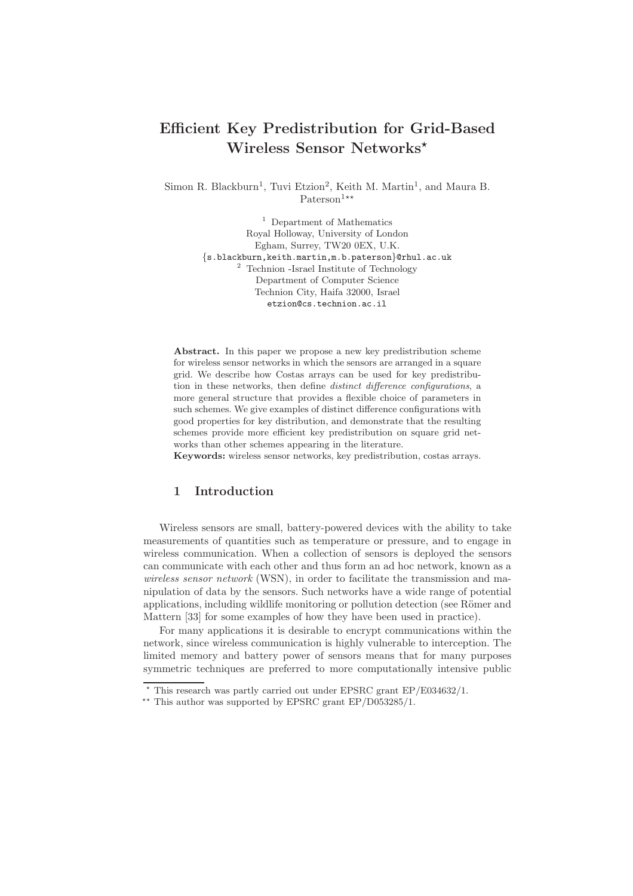# Efficient Key Predistribution for Grid-Based Wireless Sensor Networks\*

Simon R. Blackburn<sup>1</sup>, Tuvi Etzion<sup>2</sup>, Keith M. Martin<sup>1</sup>, and Maura B.  $Paterson<sup>1</sup>**$ 

> $<sup>1</sup>$  Department of Mathematics</sup> Royal Holloway, University of London Egham, Surrey, TW20 0EX, U.K. {s.blackburn,keith.martin,m.b.paterson}@rhul.ac.uk <sup>2</sup> Technion -Israel Institute of Technology Department of Computer Science Technion City, Haifa 32000, Israel etzion@cs.technion.ac.il

Abstract. In this paper we propose a new key predistribution scheme for wireless sensor networks in which the sensors are arranged in a square grid. We describe how Costas arrays can be used for key predistribution in these networks, then define distinct difference configurations, a more general structure that provides a flexible choice of parameters in such schemes. We give examples of distinct difference configurations with good properties for key distribution, and demonstrate that the resulting schemes provide more efficient key predistribution on square grid networks than other schemes appearing in the literature.

Keywords: wireless sensor networks, key predistribution, costas arrays.

## 1 Introduction

Wireless sensors are small, battery-powered devices with the ability to take measurements of quantities such as temperature or pressure, and to engage in wireless communication. When a collection of sensors is deployed the sensors can communicate with each other and thus form an ad hoc network, known as a wireless sensor network (WSN), in order to facilitate the transmission and manipulation of data by the sensors. Such networks have a wide range of potential applications, including wildlife monitoring or pollution detection (see Römer and Mattern [33] for some examples of how they have been used in practice).

For many applications it is desirable to encrypt communications within the network, since wireless communication is highly vulnerable to interception. The limited memory and battery power of sensors means that for many purposes symmetric techniques are preferred to more computationally intensive public

 $\star$  This research was partly carried out under EPSRC grant EP/E034632/1.

 $\star\star$  This author was supported by EPSRC grant EP/D053285/1.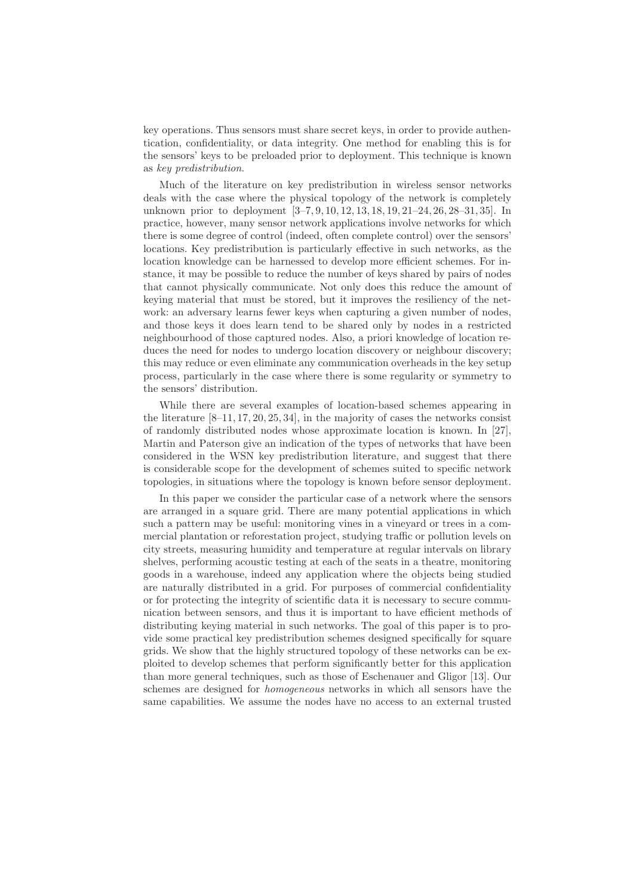key operations. Thus sensors must share secret keys, in order to provide authentication, confidentiality, or data integrity. One method for enabling this is for the sensors' keys to be preloaded prior to deployment. This technique is known as key predistribution.

Much of the literature on key predistribution in wireless sensor networks deals with the case where the physical topology of the network is completely unknown prior to deployment [3–7, 9, 10, 12, 13, 18, 19, 21–24, 26, 28–31, 35]. In practice, however, many sensor network applications involve networks for which there is some degree of control (indeed, often complete control) over the sensors' locations. Key predistribution is particularly effective in such networks, as the location knowledge can be harnessed to develop more efficient schemes. For instance, it may be possible to reduce the number of keys shared by pairs of nodes that cannot physically communicate. Not only does this reduce the amount of keying material that must be stored, but it improves the resiliency of the network: an adversary learns fewer keys when capturing a given number of nodes, and those keys it does learn tend to be shared only by nodes in a restricted neighbourhood of those captured nodes. Also, a priori knowledge of location reduces the need for nodes to undergo location discovery or neighbour discovery; this may reduce or even eliminate any communication overheads in the key setup process, particularly in the case where there is some regularity or symmetry to the sensors' distribution.

While there are several examples of location-based schemes appearing in the literature [8–11, 17, 20, 25, 34], in the majority of cases the networks consist of randomly distributed nodes whose approximate location is known. In [27], Martin and Paterson give an indication of the types of networks that have been considered in the WSN key predistribution literature, and suggest that there is considerable scope for the development of schemes suited to specific network topologies, in situations where the topology is known before sensor deployment.

In this paper we consider the particular case of a network where the sensors are arranged in a square grid. There are many potential applications in which such a pattern may be useful: monitoring vines in a vineyard or trees in a commercial plantation or reforestation project, studying traffic or pollution levels on city streets, measuring humidity and temperature at regular intervals on library shelves, performing acoustic testing at each of the seats in a theatre, monitoring goods in a warehouse, indeed any application where the objects being studied are naturally distributed in a grid. For purposes of commercial confidentiality or for protecting the integrity of scientific data it is necessary to secure communication between sensors, and thus it is important to have efficient methods of distributing keying material in such networks. The goal of this paper is to provide some practical key predistribution schemes designed specifically for square grids. We show that the highly structured topology of these networks can be exploited to develop schemes that perform significantly better for this application than more general techniques, such as those of Eschenauer and Gligor [13]. Our schemes are designed for homogeneous networks in which all sensors have the same capabilities. We assume the nodes have no access to an external trusted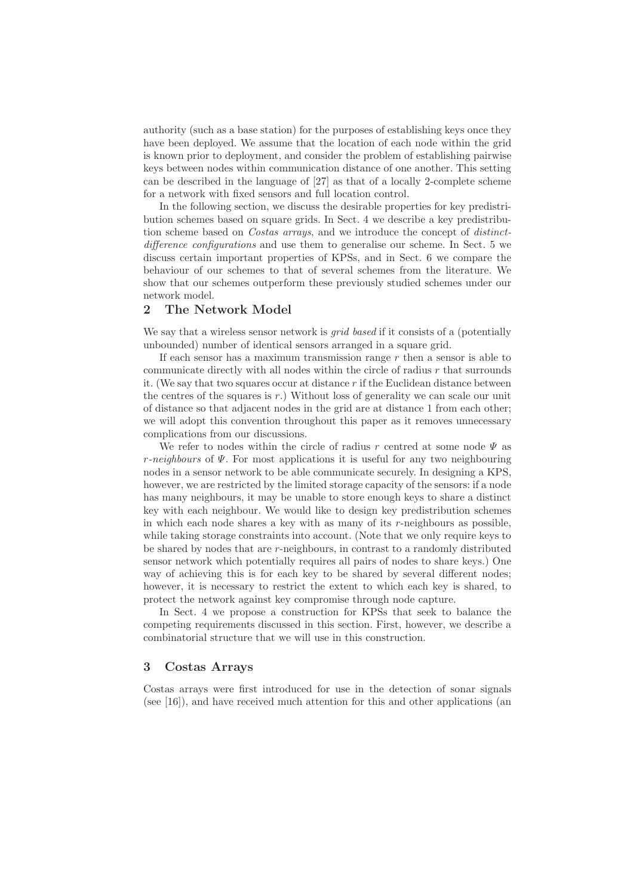authority (such as a base station) for the purposes of establishing keys once they have been deployed. We assume that the location of each node within the grid is known prior to deployment, and consider the problem of establishing pairwise keys between nodes within communication distance of one another. This setting can be described in the language of [27] as that of a locally 2-complete scheme for a network with fixed sensors and full location control.

In the following section, we discuss the desirable properties for key predistribution schemes based on square grids. In Sect. 4 we describe a key predistribution scheme based on *Costas arrays*, and we introduce the concept of *distinct*difference configurations and use them to generalise our scheme. In Sect. 5 we discuss certain important properties of KPSs, and in Sect. 6 we compare the behaviour of our schemes to that of several schemes from the literature. We show that our schemes outperform these previously studied schemes under our network model.

#### 2 The Network Model

We say that a wireless sensor network is *grid based* if it consists of a (potentially unbounded) number of identical sensors arranged in a square grid.

If each sensor has a maximum transmission range  $r$  then a sensor is able to communicate directly with all nodes within the circle of radius  $r$  that surrounds it. (We say that two squares occur at distance  $r$  if the Euclidean distance between the centres of the squares is r.) Without loss of generality we can scale our unit of distance so that adjacent nodes in the grid are at distance 1 from each other; we will adopt this convention throughout this paper as it removes unnecessary complications from our discussions.

We refer to nodes within the circle of radius r centred at some node  $\Psi$  as r-neighbours of  $\Psi$ . For most applications it is useful for any two neighbouring nodes in a sensor network to be able communicate securely. In designing a KPS, however, we are restricted by the limited storage capacity of the sensors: if a node has many neighbours, it may be unable to store enough keys to share a distinct key with each neighbour. We would like to design key predistribution schemes in which each node shares a key with as many of its r-neighbours as possible, while taking storage constraints into account. (Note that we only require keys to be shared by nodes that are r-neighbours, in contrast to a randomly distributed sensor network which potentially requires all pairs of nodes to share keys.) One way of achieving this is for each key to be shared by several different nodes; however, it is necessary to restrict the extent to which each key is shared, to protect the network against key compromise through node capture.

In Sect. 4 we propose a construction for KPSs that seek to balance the competing requirements discussed in this section. First, however, we describe a combinatorial structure that we will use in this construction.

#### 3 Costas Arrays

Costas arrays were first introduced for use in the detection of sonar signals (see [16]), and have received much attention for this and other applications (an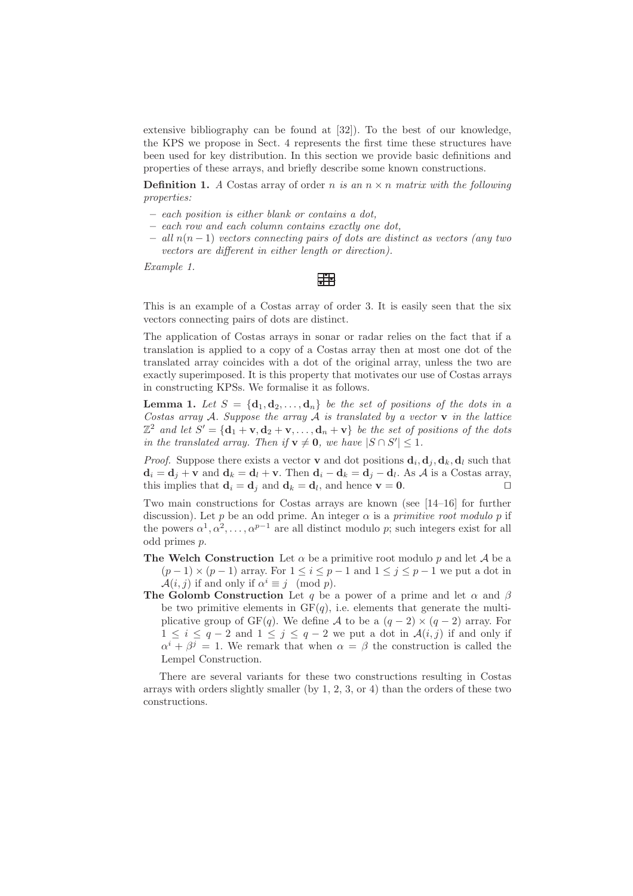extensive bibliography can be found at [32]). To the best of our knowledge, the KPS we propose in Sect. 4 represents the first time these structures have been used for key distribution. In this section we provide basic definitions and properties of these arrays, and briefly describe some known constructions.

**Definition 1.** A Costas array of order n is an  $n \times n$  matrix with the following properties:

- each position is either blank or contains a dot,
- each row and each column contains exactly one dot,
- $−$  all  $n(n-1)$  vectors connecting pairs of dots are distinct as vectors (any two vectors are different in either length or direction).

Example 1.

## <u>- 19</u>

This is an example of a Costas array of order 3. It is easily seen that the six vectors connecting pairs of dots are distinct.

The application of Costas arrays in sonar or radar relies on the fact that if a translation is applied to a copy of a Costas array then at most one dot of the translated array coincides with a dot of the original array, unless the two are exactly superimposed. It is this property that motivates our use of Costas arrays in constructing KPSs. We formalise it as follows.

**Lemma 1.** Let  $S = {\bf{d_1}, d_2, ..., d_n}$  be the set of positions of the dots in a Costas array A. Suppose the array A is translated by a vector  $\bf{v}$  in the lattice  $\mathbb{Z}^2$  and let  $S' = {\mathbf{d}_1 + \mathbf{v}, \mathbf{d}_2 + \mathbf{v}, \ldots, \mathbf{d}_n + \mathbf{v}}$  be the set of positions of the dots in the translated array. Then if  $\mathbf{v} \neq \mathbf{0}$ , we have  $|S \cap S'| \leq 1$ .

*Proof.* Suppose there exists a vector **v** and dot positions  $\mathbf{d}_i, \mathbf{d}_j, \mathbf{d}_k, \mathbf{d}_l$  such that  $\mathbf{d}_i = \mathbf{d}_j + \mathbf{v}$  and  $\mathbf{d}_k = \mathbf{d}_l + \mathbf{v}$ . Then  $\mathbf{d}_i - \mathbf{d}_k = \mathbf{d}_j - \mathbf{d}_l$ . As A is a Costas array, this implies that  $\mathbf{d}_i = \mathbf{d}_j$  and  $\mathbf{d}_k = \mathbf{d}_l$ , and hence  $\mathbf{v} = \mathbf{0}$ . □

Two main constructions for Costas arrays are known (see [14–16] for further discussion). Let p be an odd prime. An integer  $\alpha$  is a primitive root modulo p if the powers  $\alpha^1, \alpha^2, \ldots, \alpha^{p-1}$  are all distinct modulo p; such integers exist for all odd primes p.

- The Welch Construction Let  $\alpha$  be a primitive root modulo p and let A be a  $(p-1) \times (p-1)$  array. For  $1 \leq i \leq p-1$  and  $1 \leq j \leq p-1$  we put a dot in  $\mathcal{A}(i, j)$  if and only if  $\alpha^i \equiv j \pmod{p}$ .
- The Golomb Construction Let q be a power of a prime and let  $\alpha$  and  $\beta$ be two primitive elements in  $GF(q)$ , i.e. elements that generate the multiplicative group of GF(q). We define A to be a  $(q-2) \times (q-2)$  array. For  $1 \leq i \leq q-2$  and  $1 \leq j \leq q-2$  we put a dot in  $\mathcal{A}(i,j)$  if and only if  $\alpha^{i} + \beta^{j} = 1$ . We remark that when  $\alpha = \beta$  the construction is called the Lempel Construction.

There are several variants for these two constructions resulting in Costas arrays with orders slightly smaller (by 1, 2, 3, or 4) than the orders of these two constructions.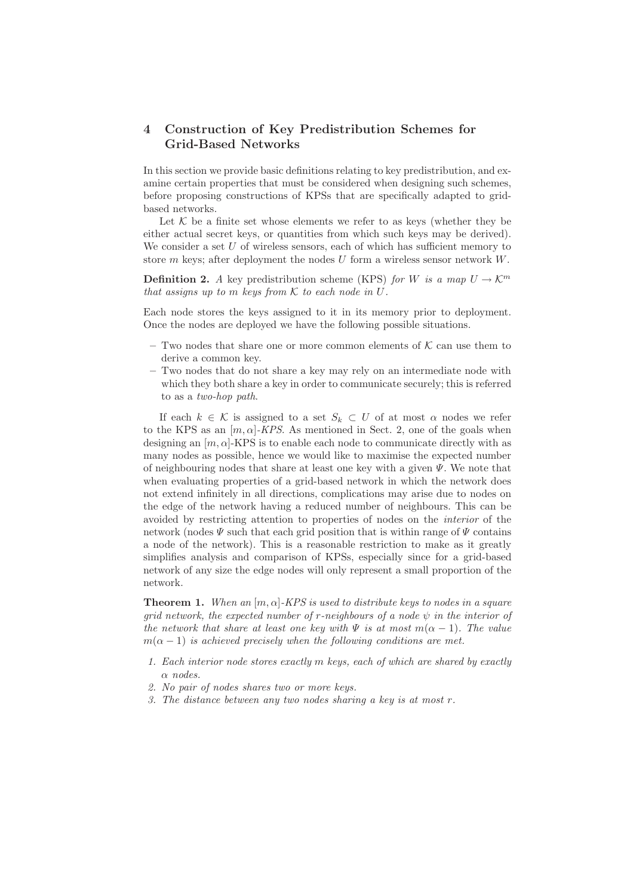## 4 Construction of Key Predistribution Schemes for Grid-Based Networks

In this section we provide basic definitions relating to key predistribution, and examine certain properties that must be considered when designing such schemes, before proposing constructions of KPSs that are specifically adapted to gridbased networks.

Let  $K$  be a finite set whose elements we refer to as keys (whether they be either actual secret keys, or quantities from which such keys may be derived). We consider a set  $U$  of wireless sensors, each of which has sufficient memory to store m keys; after deployment the nodes  $U$  form a wireless sensor network  $W$ .

**Definition 2.** A key predistribution scheme (KPS) for W is a map  $U \to \mathcal{K}^m$ that assigns up to m keys from  $K$  to each node in  $U$ .

Each node stores the keys assigned to it in its memory prior to deployment. Once the nodes are deployed we have the following possible situations.

- Two nodes that share one or more common elements of  $K$  can use them to derive a common key.
- Two nodes that do not share a key may rely on an intermediate node with which they both share a key in order to communicate securely; this is referred to as a two-hop path.

If each  $k \in \mathcal{K}$  is assigned to a set  $S_k \subset U$  of at most  $\alpha$  nodes we refer to the KPS as an  $[m, \alpha]$ -KPS. As mentioned in Sect. 2, one of the goals when designing an  $[m, \alpha]$ -KPS is to enable each node to communicate directly with as many nodes as possible, hence we would like to maximise the expected number of neighbouring nodes that share at least one key with a given  $\Psi$ . We note that when evaluating properties of a grid-based network in which the network does not extend infinitely in all directions, complications may arise due to nodes on the edge of the network having a reduced number of neighbours. This can be avoided by restricting attention to properties of nodes on the interior of the network (nodes  $\Psi$  such that each grid position that is within range of  $\Psi$  contains a node of the network). This is a reasonable restriction to make as it greatly simplifies analysis and comparison of KPSs, especially since for a grid-based network of any size the edge nodes will only represent a small proportion of the network.

**Theorem 1.** When an  $[m, \alpha]$ -KPS is used to distribute keys to nodes in a square grid network, the expected number of r-neighbours of a node  $\psi$  in the interior of the network that share at least one key with  $\Psi$  is at most  $m(\alpha - 1)$ . The value  $m(\alpha - 1)$  is achieved precisely when the following conditions are met.

- 1. Each interior node stores exactly m keys, each of which are shared by exactly  $\alpha$  nodes
- 2. No pair of nodes shares two or more keys.
- 3. The distance between any two nodes sharing a key is at most r.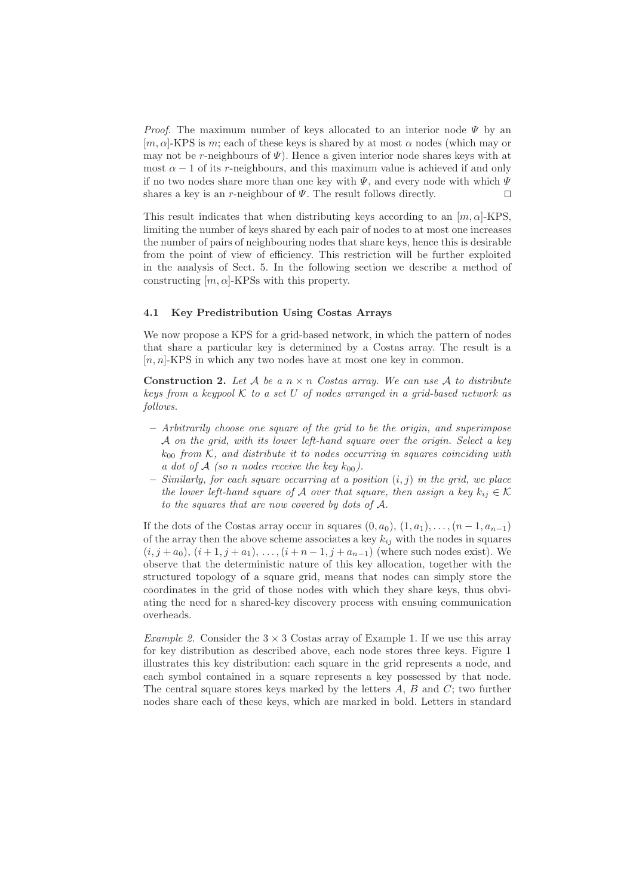*Proof.* The maximum number of keys allocated to an interior node  $\Psi$  by an  $[m, \alpha]$ -KPS is m; each of these keys is shared by at most  $\alpha$  nodes (which may or may not be r-neighbours of  $\Psi$ ). Hence a given interior node shares keys with at most  $\alpha - 1$  of its r-neighbours, and this maximum value is achieved if and only if no two nodes share more than one key with  $\Psi$ , and every node with which  $\Psi$ shares a key is an r-neighbour of  $\Psi$ . The result follows directly. □

This result indicates that when distributing keys according to an  $[m, \alpha]$ -KPS, limiting the number of keys shared by each pair of nodes to at most one increases the number of pairs of neighbouring nodes that share keys, hence this is desirable from the point of view of efficiency. This restriction will be further exploited in the analysis of Sect. 5. In the following section we describe a method of constructing  $[m, \alpha]$ -KPSs with this property.

#### 4.1 Key Predistribution Using Costas Arrays

We now propose a KPS for a grid-based network, in which the pattern of nodes that share a particular key is determined by a Costas array. The result is a  $[n, n]$ -KPS in which any two nodes have at most one key in common.

**Construction 2.** Let A be a  $n \times n$  Costas array. We can use A to distribute keys from a keypool  $K$  to a set U of nodes arranged in a grid-based network as follows.

- Arbitrarily choose one square of the grid to be the origin, and superimpose A on the grid, with its lower left-hand square over the origin. Select a key  $k_{00}$  from K, and distribute it to nodes occurring in squares coinciding with a dot of  $A$  (so n nodes receive the key  $k_{00}$ ).
- $-$  Similarly, for each square occurring at a position  $(i, j)$  in the grid, we place the lower left-hand square of A over that square, then assign a key  $k_{ij} \in \mathcal{K}$ to the squares that are now covered by dots of A.

If the dots of the Costas array occur in squares  $(0, a_0)$ ,  $(1, a_1)$ , ..., $(n-1, a_{n-1})$ of the array then the above scheme associates a key  $k_{ij}$  with the nodes in squares  $(i, j + a_0), (i + 1, j + a_1), \ldots, (i + n - 1, j + a_{n-1})$  (where such nodes exist). We observe that the deterministic nature of this key allocation, together with the structured topology of a square grid, means that nodes can simply store the coordinates in the grid of those nodes with which they share keys, thus obviating the need for a shared-key discovery process with ensuing communication overheads.

*Example 2.* Consider the  $3 \times 3$  Costas array of Example 1. If we use this array for key distribution as described above, each node stores three keys. Figure 1 illustrates this key distribution: each square in the grid represents a node, and each symbol contained in a square represents a key possessed by that node. The central square stores keys marked by the letters  $A, B$  and  $C$ ; two further nodes share each of these keys, which are marked in bold. Letters in standard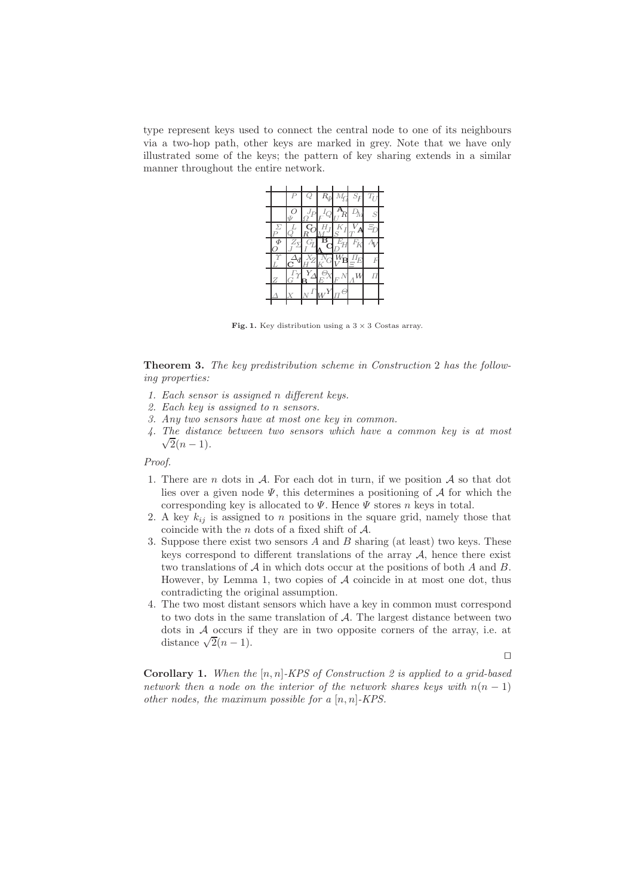type represent keys used to connect the central node to one of its neighbours via a two-hop path, other keys are marked in grey. Note that we have only illustrated some of the keys; the pattern of key sharing extends in a similar manner throughout the entire network.

| \$ |    |  |  |   |  |
|----|----|--|--|---|--|
| đ  |    |  |  |   |  |
|    |    |  |  | н |  |
|    | ٠, |  |  |   |  |
|    |    |  |  |   |  |
|    |    |  |  |   |  |

Fig. 1. Key distribution using a  $3 \times 3$  Costas array.

Theorem 3. The key predistribution scheme in Construction 2 has the following properties:

- 1. Each sensor is assigned n different keys.
- 2. Each key is assigned to n sensors.
- 3. Any two sensors have at most one key in common.
- 4. The distance between two sensors which have a common key is at most  $\frac{1}{\sqrt{2}}(n-1)$ .

#### Proof.

- 1. There are *n* dots in A. For each dot in turn, if we position A so that dot lies over a given node  $\Psi$ , this determines a positioning of A for which the corresponding key is allocated to  $\Psi$ . Hence  $\Psi$  stores n keys in total.
- 2. A key  $k_{ij}$  is assigned to n positions in the square grid, namely those that coincide with the  $n$  dots of a fixed shift of  $A$ .
- 3. Suppose there exist two sensors  $A$  and  $B$  sharing (at least) two keys. These keys correspond to different translations of the array  $A$ , hence there exist two translations of  $A$  in which dots occur at the positions of both  $A$  and  $B$ . However, by Lemma 1, two copies of A coincide in at most one dot, thus contradicting the original assumption.
- 4. The two most distant sensors which have a key in common must correspond to two dots in the same translation of  $A$ . The largest distance between two dots in A occurs if they are in two opposite corners of the array, i.e. at distance  $\sqrt{2}(n-1)$ .

⊓⊔

**Corollary 1.** When the  $[n, n]$ -KPS of Construction 2 is applied to a grid-based network then a node on the interior of the network shares keys with  $n(n-1)$ other nodes, the maximum possible for a  $[n, n]$ -KPS.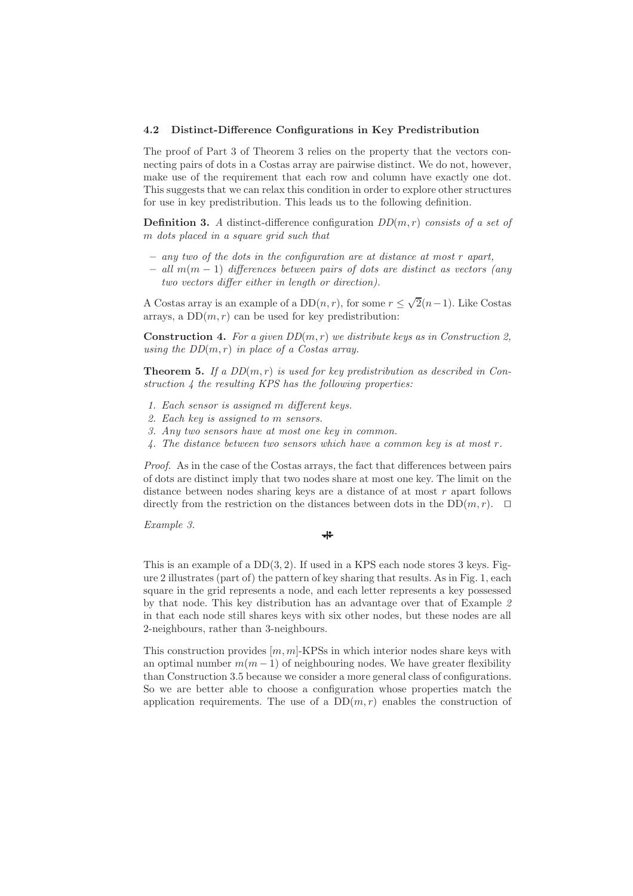#### 4.2 Distinct-Difference Configurations in Key Predistribution

The proof of Part 3 of Theorem 3 relies on the property that the vectors connecting pairs of dots in a Costas array are pairwise distinct. We do not, however, make use of the requirement that each row and column have exactly one dot. This suggests that we can relax this condition in order to explore other structures for use in key predistribution. This leads us to the following definition.

**Definition 3.** A distinct-difference configuration  $DD(m,r)$  consists of a set of m dots placed in a square grid such that

- $-$  any two of the dots in the configuration are at distance at most r apart,
- $−$  all m(m  $-$  1) differences between pairs of dots are distinct as vectors (any two vectors differ either in length or direction).

A Costas array is an example of a  $DD(n, r)$ , for some  $r \leq \sqrt{2}(n-1)$ . Like Costas arrays, a  $DD(m, r)$  can be used for key predistribution:

**Construction 4.** For a given  $DD(m, r)$  we distribute keys as in Construction 2, using the  $DD(m, r)$  in place of a Costas array.

**Theorem 5.** If a  $DD(m,r)$  is used for key predistribution as described in Construction 4 the resulting KPS has the following properties:

- 1. Each sensor is assigned m different keys.
- 2. Each key is assigned to m sensors.
- 3. Any two sensors have at most one key in common.
- 4. The distance between two sensors which have a common key is at most r.

Proof. As in the case of the Costas arrays, the fact that differences between pairs of dots are distinct imply that two nodes share at most one key. The limit on the distance between nodes sharing keys are a distance of at most  $r$  apart follows directly from the restriction on the distances between dots in the  $DD(m,r)$ . □

Example 3.

#### • • •

This is an example of a  $DD(3, 2)$ . If used in a KPS each node stores 3 keys. Figure 2 illustrates (part of) the pattern of key sharing that results. As in Fig. 1, each square in the grid represents a node, and each letter represents a key possessed by that node. This key distribution has an advantage over that of Example 2 in that each node still shares keys with six other nodes, but these nodes are all 2-neighbours, rather than 3-neighbours.

This construction provides  $[m, m]$ -KPSs in which interior nodes share keys with an optimal number  $m(m-1)$  of neighbouring nodes. We have greater flexibility than Construction 3.5 because we consider a more general class of configurations. So we are better able to choose a configuration whose properties match the application requirements. The use of a  $DD(m, r)$  enables the construction of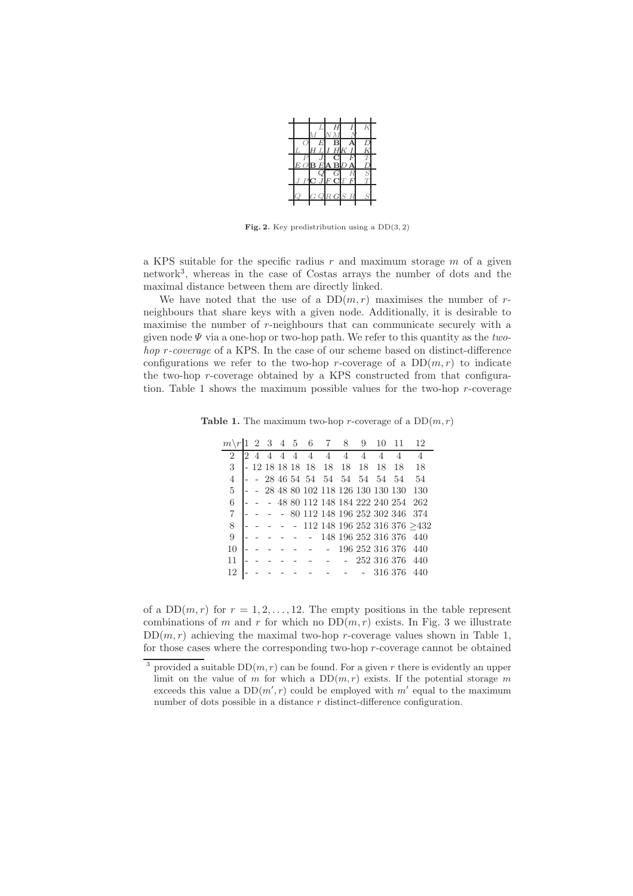|  | Ę | B                               |  |  |
|--|---|---------------------------------|--|--|
|  |   | $L$ $HK$ .                      |  |  |
|  |   | С                               |  |  |
|  |   | $E$ OB $E$ <b>A</b> BD A        |  |  |
|  |   | G                               |  |  |
|  |   | J P C J F C T F                 |  |  |
|  |   |                                 |  |  |
|  |   | $G \, Q \bar{R} \, G \bar{S}$ i |  |  |
|  |   |                                 |  |  |

Fig. 2. Key predistribution using a  $DD(3, 2)$ 

a KPS suitable for the specific radius  $r$  and maximum storage  $m$  of a given network<sup>3</sup> , whereas in the case of Costas arrays the number of dots and the maximal distance between them are directly linked.

We have noted that the use of a  $DD(m,r)$  maximises the number of rneighbours that share keys with a given node. Additionally, it is desirable to maximise the number of  $r$ -neighbours that can communicate securely with a given node  $\Psi$  via a one-hop or two-hop path. We refer to this quantity as the twohop r-coverage of a KPS. In the case of our scheme based on distinct-difference configurations we refer to the two-hop r-coverage of a  $DD(m, r)$  to indicate the two-hop r-coverage obtained by a KPS constructed from that configuration. Table 1 shows the maximum possible values for the two-hop r-coverage

**Table 1.** The maximum two-hop *r*-coverage of a  $DD(m, r)$ 

| $\overline{m}$ |                             | $\overline{2}$ | 3 4 5 6 |                |            | $7\overline{7}$                  | 8              | 9              | 10             | 11             | 12                             |
|----------------|-----------------------------|----------------|---------|----------------|------------|----------------------------------|----------------|----------------|----------------|----------------|--------------------------------|
| $\overline{2}$ | $\mathcal{D}_{\mathcal{L}}$ | 4              | 4       | $\overline{4}$ | $4\quad 4$ | $\overline{4}$                   | $\overline{4}$ | $\overline{4}$ | $\overline{4}$ | $\overline{4}$ | $\overline{4}$                 |
| 3              |                             |                |         |                |            | $-12$ 18 18 18 18 18 18          |                | 18             | 18             | 18             | 18                             |
| 4              |                             |                |         |                |            | $-284654545454545454$            |                |                |                | - 54           | -54                            |
| 5              |                             |                |         |                |            | 28 48 80 102 118 126 130 130 130 |                |                |                |                | 130                            |
| 6              |                             |                |         |                |            |                                  |                |                |                |                | $-4880112148184222240254262$   |
| 7              |                             |                |         |                |            |                                  |                |                |                |                | 80 112 148 196 252 302 346 374 |
| 8              |                             |                |         |                |            |                                  |                |                |                |                | 112 148 196 252 316 376 > 432  |
| 9              |                             |                |         |                |            |                                  |                |                |                |                | 148 196 252 316 376 440        |
| 10             |                             |                |         |                |            |                                  |                |                |                |                | 196 252 316 376 440            |
| 11             |                             |                |         |                |            |                                  |                |                |                |                | 252 316 376 440                |
|                |                             |                |         |                |            |                                  |                |                |                | 316 376        | 440                            |
|                |                             |                |         |                |            |                                  |                |                |                |                |                                |

of a  $DD(m,r)$  for  $r = 1, 2, ..., 12$ . The empty positions in the table represent combinations of m and r for which no  $DD(m, r)$  exists. In Fig. 3 we illustrate  $DD(m, r)$  achieving the maximal two-hop r-coverage values shown in Table 1, for those cases where the corresponding two-hop r-coverage cannot be obtained

<sup>&</sup>lt;sup>3</sup> provided a suitable  $DD(m, r)$  can be found. For a given r there is evidently an upper limit on the value of m for which a  $DD(m,r)$  exists. If the potential storage m exceeds this value a  $DD(m', r)$  could be employed with m' equal to the maximum number of dots possible in a distance r distinct-difference configuration.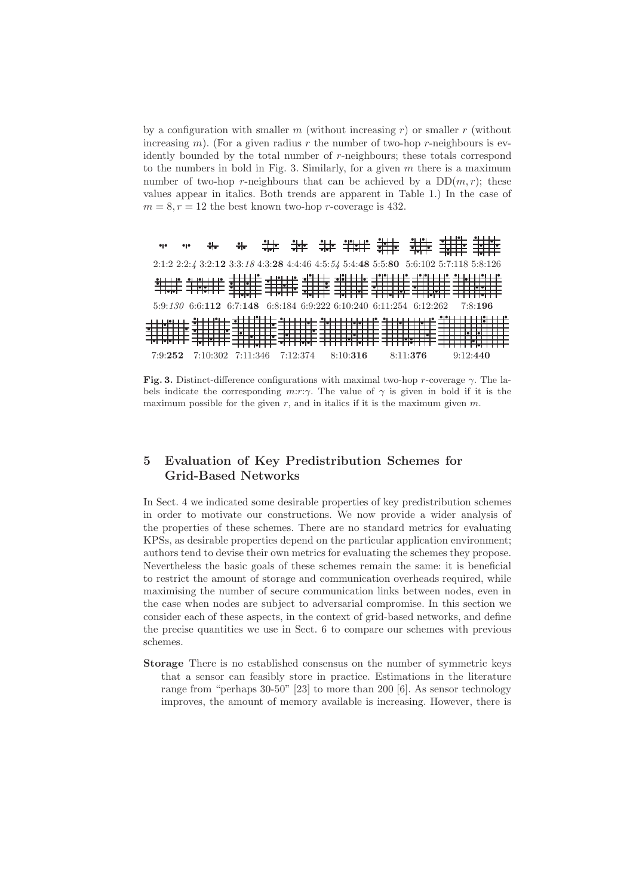by a configuration with smaller  $m$  (without increasing  $r$ ) or smaller  $r$  (without increasing m). (For a given radius r the number of two-hop r-neighbours is evidently bounded by the total number of r-neighbours; these totals correspond to the numbers in bold in Fig. 3. Similarly, for a given  $m$  there is a maximum number of two-hop r-neighbours that can be achieved by a  $DD(m, r)$ ; these values appear in italics. Both trends are apparent in Table 1.) In the case of  $m = 8, r = 12$  the best known two-hop *r*-coverage is 432.



Fig. 3. Distinct-difference configurations with maximal two-hop r-coverage  $\gamma$ . The labels indicate the corresponding  $m:r:\gamma$ . The value of  $\gamma$  is given in bold if it is the maximum possible for the given r, and in italics if it is the maximum given  $m$ .

## 5 Evaluation of Key Predistribution Schemes for Grid-Based Networks

In Sect. 4 we indicated some desirable properties of key predistribution schemes in order to motivate our constructions. We now provide a wider analysis of the properties of these schemes. There are no standard metrics for evaluating KPSs, as desirable properties depend on the particular application environment; authors tend to devise their own metrics for evaluating the schemes they propose. Nevertheless the basic goals of these schemes remain the same: it is beneficial to restrict the amount of storage and communication overheads required, while maximising the number of secure communication links between nodes, even in the case when nodes are subject to adversarial compromise. In this section we consider each of these aspects, in the context of grid-based networks, and define the precise quantities we use in Sect. 6 to compare our schemes with previous schemes.

Storage There is no established consensus on the number of symmetric keys that a sensor can feasibly store in practice. Estimations in the literature range from "perhaps 30-50" [23] to more than 200 [6]. As sensor technology improves, the amount of memory available is increasing. However, there is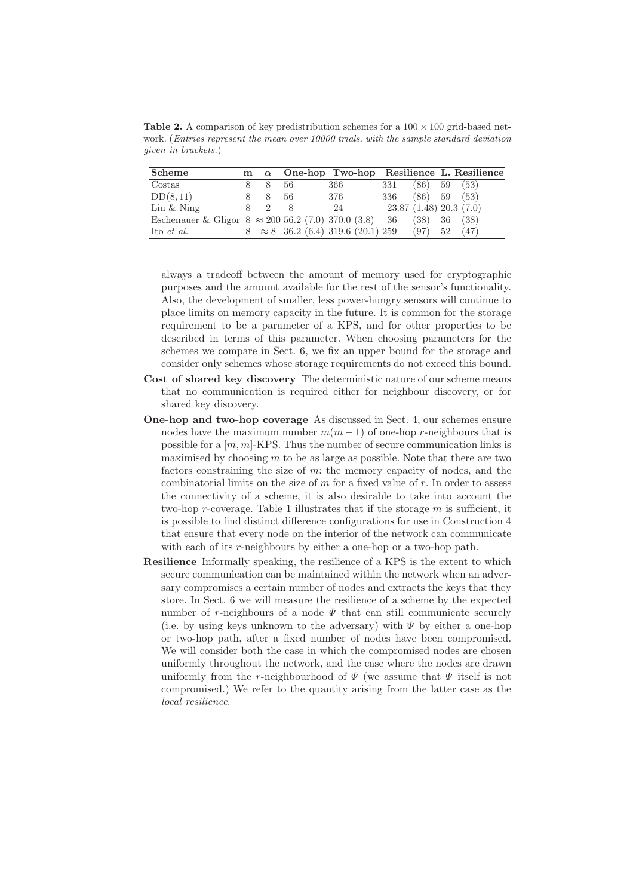Table 2. A comparison of key predistribution schemes for a  $100 \times 100$  grid-based network. (Entries represent the mean over 10000 trials, with the sample standard deviation given in brackets.)

| Scheme                                                         |     |                           | m $\alpha$ One-hop Two-hop Resilience L. Resilience |     |                                 |     |      |
|----------------------------------------------------------------|-----|---------------------------|-----------------------------------------------------|-----|---------------------------------|-----|------|
| Costas                                                         |     | 56                        | 366                                                 | 331 | (86)                            | 59  | (53) |
| DD(8, 11)                                                      | - 8 | 56                        | 376                                                 | 336 | $(86)$ 59                       |     | (53) |
| Liu $&$ Ning                                                   |     | $\boldsymbol{\mathsf{R}}$ | 24                                                  |     | $23.87$ $(1.48)$ $20.3$ $(7.0)$ |     |      |
| Eschenauer & Gligor $8 \approx 200\,56.2\,(7.0)\,370.0\,(3.8)$ |     |                           |                                                     | -36 | (38)                            | -36 | (38) |
| Ito <i>et al.</i>                                              |     |                           | $8 \approx 8$ 36.2 (6.4) 319.6 (20.1) 259           |     | (97)                            | 52  | 47   |

always a tradeoff between the amount of memory used for cryptographic purposes and the amount available for the rest of the sensor's functionality. Also, the development of smaller, less power-hungry sensors will continue to place limits on memory capacity in the future. It is common for the storage requirement to be a parameter of a KPS, and for other properties to be described in terms of this parameter. When choosing parameters for the schemes we compare in Sect. 6, we fix an upper bound for the storage and consider only schemes whose storage requirements do not exceed this bound.

- Cost of shared key discovery The deterministic nature of our scheme means that no communication is required either for neighbour discovery, or for shared key discovery.
- One-hop and two-hop coverage As discussed in Sect. 4, our schemes ensure nodes have the maximum number  $m(m-1)$  of one-hop r-neighbours that is possible for a  $[m, m]$ -KPS. Thus the number of secure communication links is maximised by choosing  $m$  to be as large as possible. Note that there are two factors constraining the size of m: the memory capacity of nodes, and the combinatorial limits on the size of  $m$  for a fixed value of  $r$ . In order to assess the connectivity of a scheme, it is also desirable to take into account the two-hop  $r$ -coverage. Table 1 illustrates that if the storage  $m$  is sufficient, it is possible to find distinct difference configurations for use in Construction 4 that ensure that every node on the interior of the network can communicate with each of its r-neighbours by either a one-hop or a two-hop path.
- Resilience Informally speaking, the resilience of a KPS is the extent to which secure communication can be maintained within the network when an adversary compromises a certain number of nodes and extracts the keys that they store. In Sect. 6 we will measure the resilience of a scheme by the expected number of r-neighbours of a node  $\Psi$  that can still communicate securely (i.e. by using keys unknown to the adversary) with  $\Psi$  by either a one-hop or two-hop path, after a fixed number of nodes have been compromised. We will consider both the case in which the compromised nodes are chosen uniformly throughout the network, and the case where the nodes are drawn uniformly from the r-neighbourhood of  $\Psi$  (we assume that  $\Psi$  itself is not compromised.) We refer to the quantity arising from the latter case as the local resilience.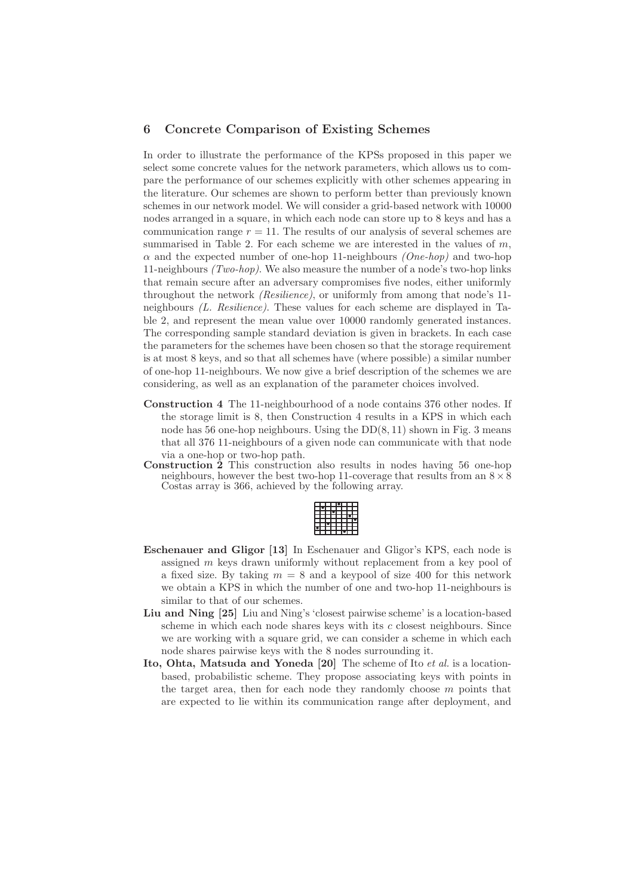#### 6 Concrete Comparison of Existing Schemes

In order to illustrate the performance of the KPSs proposed in this paper we select some concrete values for the network parameters, which allows us to compare the performance of our schemes explicitly with other schemes appearing in the literature. Our schemes are shown to perform better than previously known schemes in our network model. We will consider a grid-based network with 10000 nodes arranged in a square, in which each node can store up to 8 keys and has a communication range  $r = 11$ . The results of our analysis of several schemes are summarised in Table 2. For each scheme we are interested in the values of  $m$ ,  $\alpha$  and the expected number of one-hop 11-neighbours (One-hop) and two-hop 11-neighbours *(Two-hop)*. We also measure the number of a node's two-hop links that remain secure after an adversary compromises five nodes, either uniformly throughout the network (Resilience), or uniformly from among that node's 11 neighbours (L. Resilience). These values for each scheme are displayed in Table 2, and represent the mean value over 10000 randomly generated instances. The corresponding sample standard deviation is given in brackets. In each case the parameters for the schemes have been chosen so that the storage requirement is at most 8 keys, and so that all schemes have (where possible) a similar number of one-hop 11-neighbours. We now give a brief description of the schemes we are considering, as well as an explanation of the parameter choices involved.

- Construction 4 The 11-neighbourhood of a node contains 376 other nodes. If the storage limit is 8, then Construction 4 results in a KPS in which each node has 56 one-hop neighbours. Using the  $DD(8, 11)$  shown in Fig. 3 means that all 376 11-neighbours of a given node can communicate with that node via a one-hop or two-hop path.
- Construction 2 This construction also results in nodes having 56 one-hop neighbours, however the best two-hop 11-coverage that results from an  $8 \times 8$ Costas array is 366, achieved by the following array.

- Eschenauer and Gligor [13] In Eschenauer and Gligor's KPS, each node is assigned m keys drawn uniformly without replacement from a key pool of a fixed size. By taking  $m = 8$  and a keypool of size 400 for this network we obtain a KPS in which the number of one and two-hop 11-neighbours is similar to that of our schemes.
- Liu and Ning [25] Liu and Ning's 'closest pairwise scheme' is a location-based scheme in which each node shares keys with its  $c$  closest neighbours. Since we are working with a square grid, we can consider a scheme in which each node shares pairwise keys with the 8 nodes surrounding it.
- Ito, Ohta, Matsuda and Yoneda [20] The scheme of Ito et al. is a locationbased, probabilistic scheme. They propose associating keys with points in the target area, then for each node they randomly choose  $m$  points that are expected to lie within its communication range after deployment, and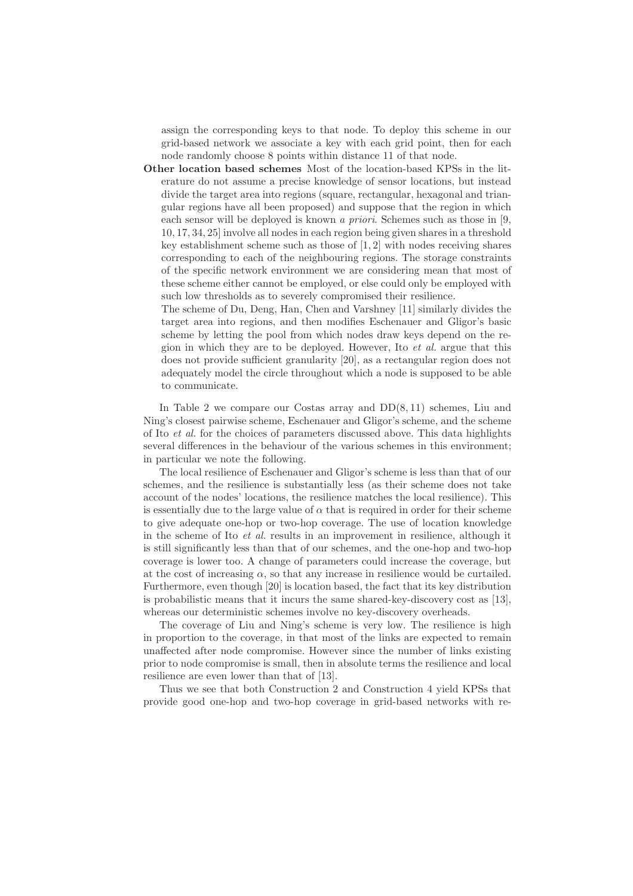assign the corresponding keys to that node. To deploy this scheme in our grid-based network we associate a key with each grid point, then for each node randomly choose 8 points within distance 11 of that node.

Other location based schemes Most of the location-based KPSs in the literature do not assume a precise knowledge of sensor locations, but instead divide the target area into regions (square, rectangular, hexagonal and triangular regions have all been proposed) and suppose that the region in which each sensor will be deployed is known a priori. Schemes such as those in [9, 10, 17, 34, 25] involve all nodes in each region being given shares in a threshold key establishment scheme such as those of  $[1, 2]$  with nodes receiving shares corresponding to each of the neighbouring regions. The storage constraints of the specific network environment we are considering mean that most of these scheme either cannot be employed, or else could only be employed with such low thresholds as to severely compromised their resilience.

The scheme of Du, Deng, Han, Chen and Varshney [11] similarly divides the target area into regions, and then modifies Eschenauer and Gligor's basic scheme by letting the pool from which nodes draw keys depend on the region in which they are to be deployed. However, Ito et al. argue that this does not provide sufficient granularity [20], as a rectangular region does not adequately model the circle throughout which a node is supposed to be able to communicate.

In Table 2 we compare our Costas array and DD(8, 11) schemes, Liu and Ning's closest pairwise scheme, Eschenauer and Gligor's scheme, and the scheme of Ito et al. for the choices of parameters discussed above. This data highlights several differences in the behaviour of the various schemes in this environment; in particular we note the following.

The local resilience of Eschenauer and Gligor's scheme is less than that of our schemes, and the resilience is substantially less (as their scheme does not take account of the nodes' locations, the resilience matches the local resilience). This is essentially due to the large value of  $\alpha$  that is required in order for their scheme to give adequate one-hop or two-hop coverage. The use of location knowledge in the scheme of Ito et al. results in an improvement in resilience, although it is still significantly less than that of our schemes, and the one-hop and two-hop coverage is lower too. A change of parameters could increase the coverage, but at the cost of increasing  $\alpha$ , so that any increase in resilience would be curtailed. Furthermore, even though [20] is location based, the fact that its key distribution is probabilistic means that it incurs the same shared-key-discovery cost as [13], whereas our deterministic schemes involve no key-discovery overheads.

The coverage of Liu and Ning's scheme is very low. The resilience is high in proportion to the coverage, in that most of the links are expected to remain unaffected after node compromise. However since the number of links existing prior to node compromise is small, then in absolute terms the resilience and local resilience are even lower than that of [13].

Thus we see that both Construction 2 and Construction 4 yield KPSs that provide good one-hop and two-hop coverage in grid-based networks with re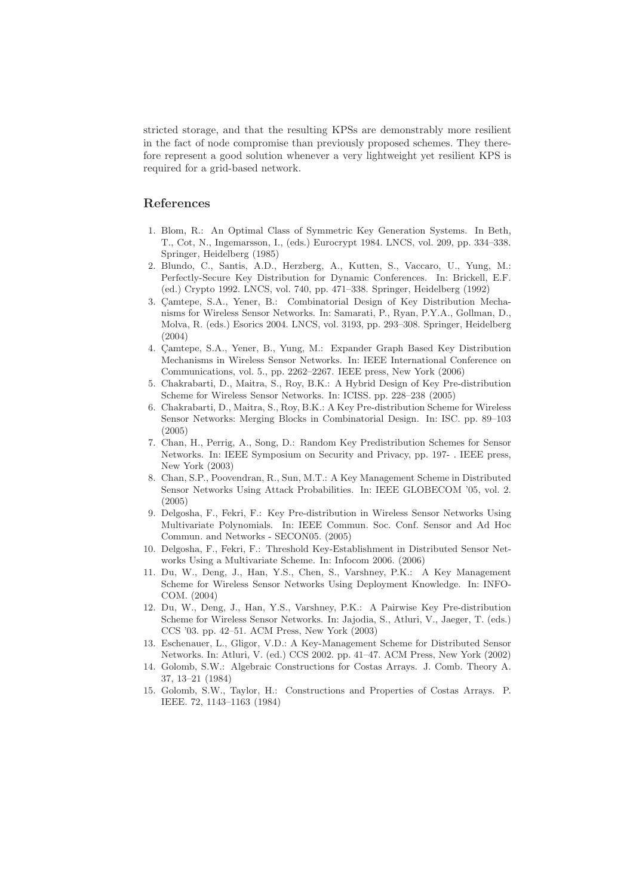stricted storage, and that the resulting KPSs are demonstrably more resilient in the fact of node compromise than previously proposed schemes. They therefore represent a good solution whenever a very lightweight yet resilient KPS is required for a grid-based network.

## References

- 1. Blom, R.: An Optimal Class of Symmetric Key Generation Systems. In Beth, T., Cot, N., Ingemarsson, I., (eds.) Eurocrypt 1984. LNCS, vol. 209, pp. 334–338. Springer, Heidelberg (1985)
- 2. Blundo, C., Santis, A.D., Herzberg, A., Kutten, S., Vaccaro, U., Yung, M.: Perfectly-Secure Key Distribution for Dynamic Conferences. In: Brickell, E.F. (ed.) Crypto 1992. LNCS, vol. 740, pp. 471–338. Springer, Heidelberg (1992)
- 3. Camtepe, S.A., Yener, B.: Combinatorial Design of Key Distribution Mechanisms for Wireless Sensor Networks. In: Samarati, P., Ryan, P.Y.A., Gollman, D., Molva, R. (eds.) Esorics 2004. LNCS, vol. 3193, pp. 293–308. Springer, Heidelberg (2004)
- 4. Camtepe, S.A., Yener, B., Yung, M.: Expander Graph Based Key Distribution Mechanisms in Wireless Sensor Networks. In: IEEE International Conference on Communications, vol. 5., pp. 2262–2267. IEEE press, New York (2006)
- 5. Chakrabarti, D., Maitra, S., Roy, B.K.: A Hybrid Design of Key Pre-distribution Scheme for Wireless Sensor Networks. In: ICISS. pp. 228–238 (2005)
- 6. Chakrabarti, D., Maitra, S., Roy, B.K.: A Key Pre-distribution Scheme for Wireless Sensor Networks: Merging Blocks in Combinatorial Design. In: ISC. pp. 89–103 (2005)
- 7. Chan, H., Perrig, A., Song, D.: Random Key Predistribution Schemes for Sensor Networks. In: IEEE Symposium on Security and Privacy, pp. 197- . IEEE press, New York (2003)
- 8. Chan, S.P., Poovendran, R., Sun, M.T.: A Key Management Scheme in Distributed Sensor Networks Using Attack Probabilities. In: IEEE GLOBECOM '05, vol. 2. (2005)
- 9. Delgosha, F., Fekri, F.: Key Pre-distribution in Wireless Sensor Networks Using Multivariate Polynomials. In: IEEE Commun. Soc. Conf. Sensor and Ad Hoc Commun. and Networks - SECON05. (2005)
- 10. Delgosha, F., Fekri, F.: Threshold Key-Establishment in Distributed Sensor Networks Using a Multivariate Scheme. In: Infocom 2006. (2006)
- 11. Du, W., Deng, J., Han, Y.S., Chen, S., Varshney, P.K.: A Key Management Scheme for Wireless Sensor Networks Using Deployment Knowledge. In: INFO-COM. (2004)
- 12. Du, W., Deng, J., Han, Y.S., Varshney, P.K.: A Pairwise Key Pre-distribution Scheme for Wireless Sensor Networks. In: Jajodia, S., Atluri, V., Jaeger, T. (eds.) CCS '03. pp. 42–51. ACM Press, New York (2003)
- 13. Eschenauer, L., Gligor, V.D.: A Key-Management Scheme for Distributed Sensor Networks. In: Atluri, V. (ed.) CCS 2002. pp. 41–47. ACM Press, New York (2002)
- 14. Golomb, S.W.: Algebraic Constructions for Costas Arrays. J. Comb. Theory A. 37, 13–21 (1984)
- 15. Golomb, S.W., Taylor, H.: Constructions and Properties of Costas Arrays. P. IEEE. 72, 1143–1163 (1984)